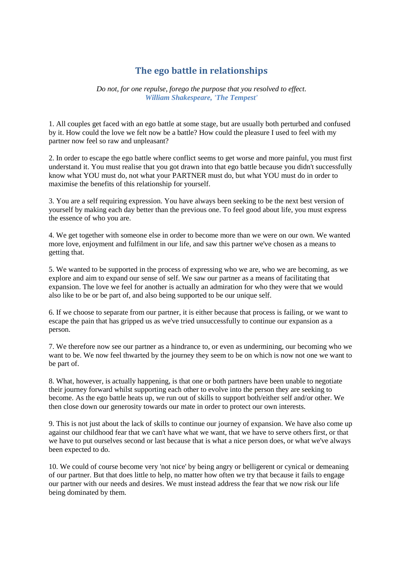## **The ego battle in relationships**

*Do not, for one repulse, forego the purpose that you resolved to effect. [William Shakespeare,](http://www.quotationspage.com/quotes/William_Shakespeare/) 'The Tempest'*

1. All couples get faced with an ego battle at some stage, but are usually both perturbed and confused by it. How could the love we felt now be a battle? How could the pleasure I used to feel with my partner now feel so raw and unpleasant?

2. In order to escape the ego battle where conflict seems to get worse and more painful, you must first understand it. You must realise that you got drawn into that ego battle because you didn't successfully know what YOU must do, not what your PARTNER must do, but what YOU must do in order to maximise the benefits of this relationship for yourself.

3. You are a self requiring expression. You have always been seeking to be the next best version of yourself by making each day better than the previous one. To feel good about life, you must express the essence of who you are.

4. We get together with someone else in order to become more than we were on our own. We wanted more love, enjoyment and fulfilment in our life, and saw this partner we've chosen as a means to getting that.

5. We wanted to be supported in the process of expressing who we are, who we are becoming, as we explore and aim to expand our sense of self. We saw our partner as a means of facilitating that expansion. The love we feel for another is actually an admiration for who they were that we would also like to be or be part of, and also being supported to be our unique self.

6. If we choose to separate from our partner, it is either because that process is failing, or we want to escape the pain that has gripped us as we've tried unsuccessfully to continue our expansion as a person.

7. We therefore now see our partner as a hindrance to, or even as undermining, our becoming who we want to be. We now feel thwarted by the journey they seem to be on which is now not one we want to be part of.

8. What, however, is actually happening, is that one or both partners have been unable to negotiate their journey forward whilst supporting each other to evolve into the person they are seeking to become. As the ego battle heats up, we run out of skills to support both/either self and/or other. We then close down our generosity towards our mate in order to protect our own interests.

9. This is not just about the lack of skills to continue our journey of expansion. We have also come up against our childhood fear that we can't have what we want, that we have to serve others first, or that we have to put ourselves second or last because that is what a nice person does, or what we've always been expected to do.

10. We could of course become very 'not nice' by being angry or belligerent or cynical or demeaning of our partner. But that does little to help, no matter how often we try that because it fails to engage our partner with our needs and desires. We must instead address the fear that we now risk our life being dominated by them.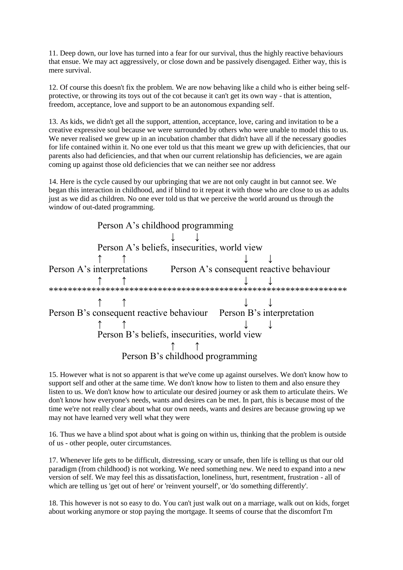11. Deep down, our love has turned into a fear for our survival, thus the highly reactive behaviours that ensue. We may act aggressively, or close down and be passively disengaged. Either way, this is mere survival.

12. Of course this doesn't fix the problem. We are now behaving like a child who is either being selfprotective, or throwing its toys out of the cot because it can't get its own way - that is attention, freedom, acceptance, love and support to be an autonomous expanding self.

13. As kids, we didn't get all the support, attention, acceptance, love, caring and invitation to be a creative expressive soul because we were surrounded by others who were unable to model this to us. We never realised we grew up in an incubation chamber that didn't have all if the necessary goodies for life contained within it. No one ever told us that this meant we grew up with deficiencies, that our parents also had deficiencies, and that when our current relationship has deficiencies, we are again coming up against those old deficiencies that we can neither see nor address

14. Here is the cycle caused by our upbringing that we are not only caught in but cannot see. We began this interaction in childhood, and if blind to it repeat it with those who are close to us as adults just as we did as children. No one ever told us that we perceive the world around us through the window of out-dated programming.



15. However what is not so apparent is that we've come up against ourselves. We don't know how to support self and other at the same time. We don't know how to listen to them and also ensure they listen to us. We don't know how to articulate our desired journey or ask them to articulate theirs. We don't know how everyone's needs, wants and desires can be met. In part, this is because most of the time we're not really clear about what our own needs, wants and desires are because growing up we may not have learned very well what they were

16. Thus we have a blind spot about what is going on within us, thinking that the problem is outside of us - other people, outer circumstances.

17. Whenever life gets to be difficult, distressing, scary or unsafe, then life is telling us that our old paradigm (from childhood) is not working. We need something new. We need to expand into a new version of self. We may feel this as dissatisfaction, loneliness, hurt, resentment, frustration - all of which are telling us 'get out of here' or 'reinvent yourself', or 'do something differently'.

18. This however is not so easy to do. You can't just walk out on a marriage, walk out on kids, forget about working anymore or stop paying the mortgage. It seems of course that the discomfort I'm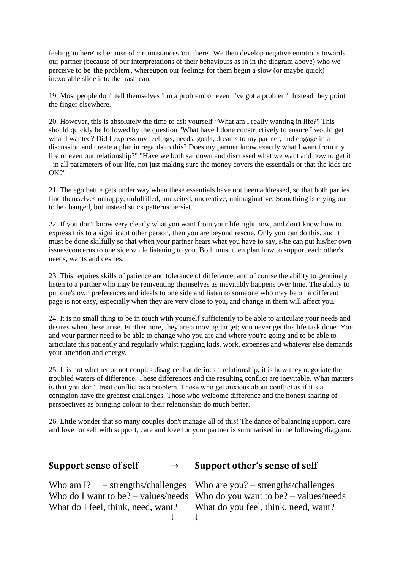feeling 'in here' is because of circumstances 'out there'. We then develop negative emotions towards our partner (because of our interpretations of their behaviours as in in the diagram above) who we perceive to be 'the problem', whereupon our feelings for them begin a slow (or maybe quick) inexorable slide into the trash can.

19. Most people don't tell themselves 'I'm a problem' or even 'I've got a problem'. Instead they point the finger elsewhere.

20. However, this is absolutely the time to ask yourself "What am I really wanting in life?" This should quickly be followed by the question "What have I done constructively to ensure I would get what I wanted? Did I express my feelings, needs, goals, dreams to my partner, and engage in a discussion and create a plan in regards to this? Does my partner know exactly what I want from my life or even our relationship?" "Have we both sat down and discussed what we want and how to get it - in all parameters of our life, not just making sure the money covers the essentials or that the kids are OK?"

21. The ego battle gets under way when these essentials have not been addressed, so that both parties find themselves unhappy, unfulfilled, unexcited, uncreative, unimaginative. Something is crying out to be changed, but instead stuck patterns persist.

22. If you don't know very clearly what you want from your life right now, and don't know how to express this to a significant other person, then you are beyond rescue. Only you can do this, and it must be done skilfully so that when your partner hears what you have to say, s/he can put his/her own issues/concerns to one side while listening to you. Both must then plan how to support each other's needs, wants and desires.

23. This requires skills of patience and tolerance of difference, and of course the ability to genuinely listen to a partner who may be reinventing themselves as inevitably happens over time. The ability to put one's own preferences and ideals to one side and listen to someone who may be on a different page is not easy, especially when they are very close to you, and change in them will affect you.

24. It is no small thing to be in touch with yourself sufficiently to be able to articulate your needs and desires when these arise. Furthermore, they are a moving target; you never get this life task done. You and your partner need to be able to change who you are and where you're going and to be able to articulate this patiently and regularly whilst juggling kids, work, expenses and whatever else demands your attention and energy.

25. It is not whether or not couples disagree that defines a relationship; it is how they negotiate the troubled waters of difference. These differences and the resulting conflict are inevitable. What matters is that you don't treat conflict as a problem. Those who get anxious about conflict as if it's a contagion have the greatest challenges. Those who welcome difference and the honest sharing of perspectives as bringing colour to their relationship do much better.

26. Little wonder that so many couples don't manage all of this! The dance of balancing support, care and love for self with support, care and love for your partner is summarised in the following diagram.

## **Support sense of self → Support other's sense of self**

Who am I? – strengths/challenges Who are you? – strengths/challenges

Who do I want to be? – values/needs Who do you want to be? – values/needs What do I feel, think, need, want? What do you feel, think, need, want? ↓ ↓